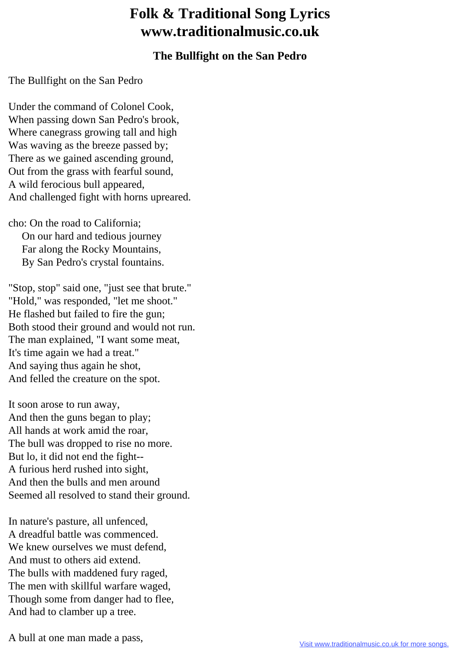## **Folk & Traditional Song Lyrics www.traditionalmusic.co.uk**

## **The Bullfight on the San Pedro**

The Bullfight on the San Pedro

Under the command of Colonel Cook, When passing down San Pedro's brook, Where canegrass growing tall and high Was waving as the breeze passed by; There as we gained ascending ground, Out from the grass with fearful sound, A wild ferocious bull appeared, And challenged fight with horns upreared.

cho: On the road to California; On our hard and tedious journey Far along the Rocky Mountains, By San Pedro's crystal fountains.

"Stop, stop" said one, "just see that brute." "Hold," was responded, "let me shoot." He flashed but failed to fire the gun; Both stood their ground and would not run. The man explained, "I want some meat, It's time again we had a treat." And saying thus again he shot, And felled the creature on the spot.

It soon arose to run away, And then the guns began to play; All hands at work amid the roar, The bull was dropped to rise no more. But lo, it did not end the fight-- A furious herd rushed into sight, And then the bulls and men around Seemed all resolved to stand their ground.

In nature's pasture, all unfenced, A dreadful battle was commenced. We knew ourselves we must defend. And must to others aid extend. The bulls with maddened fury raged, The men with skillful warfare waged, Though some from danger had to flee, And had to clamber up a tree.

A bull at one man made a pass,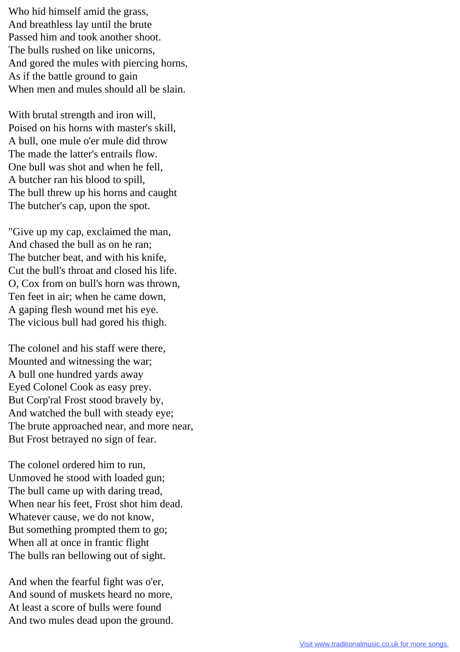Who hid himself amid the grass, And breathless lay until the brute Passed him and took another shoot. The bulls rushed on like unicorns, And gored the mules with piercing horns, As if the battle ground to gain When men and mules should all be slain.

With brutal strength and iron will, Poised on his horns with master's skill, A bull, one mule o'er mule did throw The made the latter's entrails flow. One bull was shot and when he fell, A butcher ran his blood to spill, The bull threw up his horns and caught The butcher's cap, upon the spot.

"Give up my cap, exclaimed the man, And chased the bull as on he ran; The butcher beat, and with his knife, Cut the bull's throat and closed his life. O, Cox from on bull's horn was thrown, Ten feet in air; when he came down, A gaping flesh wound met his eye. The vicious bull had gored his thigh.

The colonel and his staff were there, Mounted and witnessing the war; A bull one hundred yards away Eyed Colonel Cook as easy prey. But Corp'ral Frost stood bravely by, And watched the bull with steady eye; The brute approached near, and more near, But Frost betrayed no sign of fear.

The colonel ordered him to run, Unmoved he stood with loaded gun; The bull came up with daring tread, When near his feet, Frost shot him dead. Whatever cause, we do not know, But something prompted them to go; When all at once in frantic flight The bulls ran bellowing out of sight.

And when the fearful fight was o'er, And sound of muskets heard no more, At least a score of bulls were found And two mules dead upon the ground.